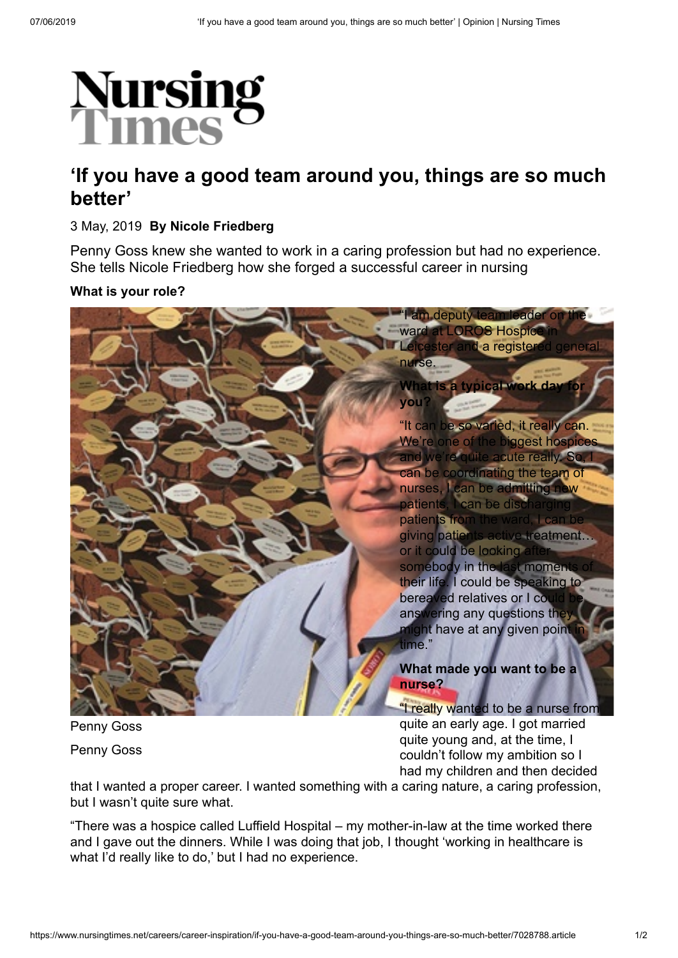

# **'If you have a good team around you, things are so much better'**

## 3 May, 2019 **By Nicole Friedberg**

Penny Goss knew she wanted to work in a caring profession but had no experience. She tells Nicole Friedberg how she forged a successful career in nursing

### **What is your role?**



Penny Goss Penny Goss quite an early age. I got married quite young and, at the time, I couldn't follow my ambition so I had my children and then decided

that I wanted a proper career. I wanted something with a caring nature, a caring profession, but I wasn't quite sure what.

"There was a hospice called Luffield Hospital – my mother-in-law at the time worked there and I gave out the dinners. While I was doing that job, I thought 'working in healthcare is what I'd really like to do,' but I had no experience.